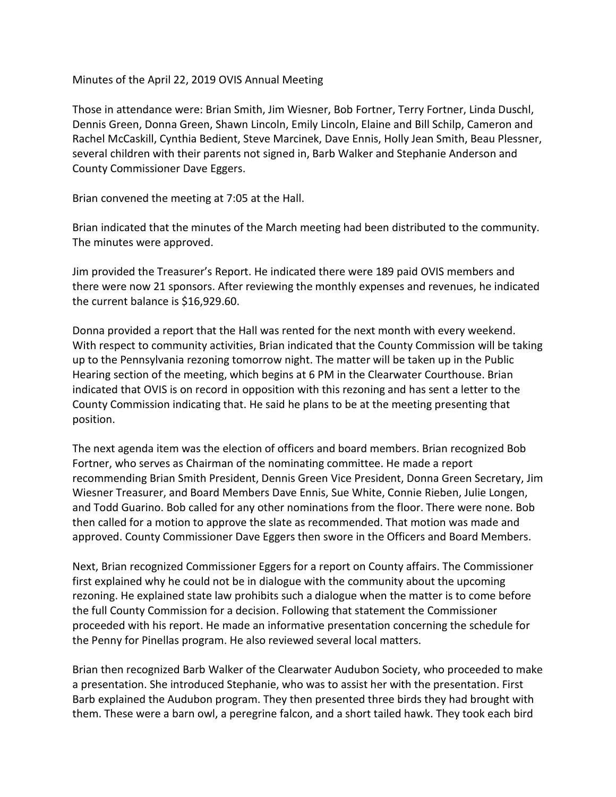Minutes of the April 22, 2019 OVIS Annual Meeting

Those in attendance were: Brian Smith, Jim Wiesner, Bob Fortner, Terry Fortner, Linda Duschl, Dennis Green, Donna Green, Shawn Lincoln, Emily Lincoln, Elaine and Bill Schilp, Cameron and Rachel McCaskill, Cynthia Bedient, Steve Marcinek, Dave Ennis, Holly Jean Smith, Beau Plessner, several children with their parents not signed in, Barb Walker and Stephanie Anderson and County Commissioner Dave Eggers.

Brian convened the meeting at 7:05 at the Hall.

Brian indicated that the minutes of the March meeting had been distributed to the community. The minutes were approved.

Jim provided the Treasurer's Report. He indicated there were 189 paid OVIS members and there were now 21 sponsors. After reviewing the monthly expenses and revenues, he indicated the current balance is \$16,929.60.

Donna provided a report that the Hall was rented for the next month with every weekend. With respect to community activities, Brian indicated that the County Commission will be taking up to the Pennsylvania rezoning tomorrow night. The matter will be taken up in the Public Hearing section of the meeting, which begins at 6 PM in the Clearwater Courthouse. Brian indicated that OVIS is on record in opposition with this rezoning and has sent a letter to the County Commission indicating that. He said he plans to be at the meeting presenting that position.

The next agenda item was the election of officers and board members. Brian recognized Bob Fortner, who serves as Chairman of the nominating committee. He made a report recommending Brian Smith President, Dennis Green Vice President, Donna Green Secretary, Jim Wiesner Treasurer, and Board Members Dave Ennis, Sue White, Connie Rieben, Julie Longen, and Todd Guarino. Bob called for any other nominations from the floor. There were none. Bob then called for a motion to approve the slate as recommended. That motion was made and approved. County Commissioner Dave Eggers then swore in the Officers and Board Members.

Next, Brian recognized Commissioner Eggers for a report on County affairs. The Commissioner first explained why he could not be in dialogue with the community about the upcoming rezoning. He explained state law prohibits such a dialogue when the matter is to come before the full County Commission for a decision. Following that statement the Commissioner proceeded with his report. He made an informative presentation concerning the schedule for the Penny for Pinellas program. He also reviewed several local matters.

Brian then recognized Barb Walker of the Clearwater Audubon Society, who proceeded to make a presentation. She introduced Stephanie, who was to assist her with the presentation. First Barb explained the Audubon program. They then presented three birds they had brought with them. These were a barn owl, a peregrine falcon, and a short tailed hawk. They took each bird